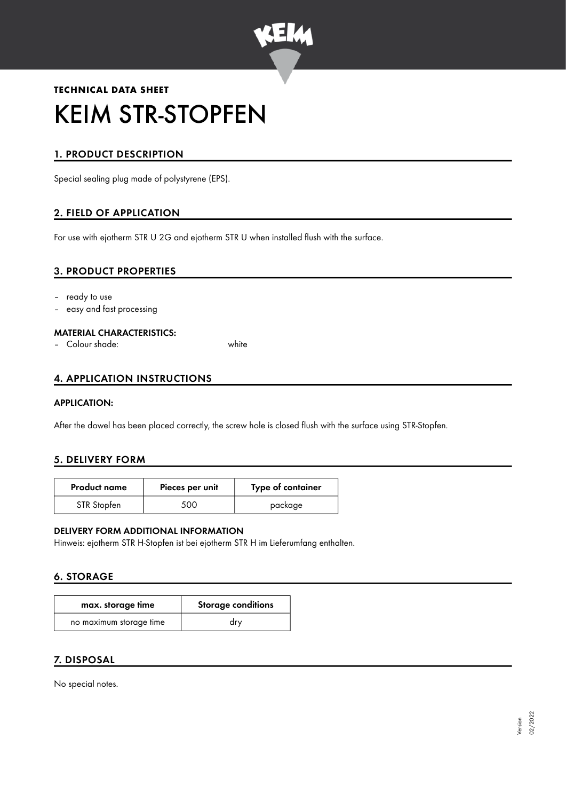

# **TECHNICAL DATA SHEET** KEIM STR-STOPFEN

## 1. PRODUCT DESCRIPTION

Special sealing plug made of polystyrene (EPS).

## 2. FIELD OF APPLICATION

For use with ejotherm STR U 2G and ejotherm STR U when installed flush with the surface.

#### 3. PRODUCT PROPERTIES

- ready to use
- easy and fast processing

#### MATERIAL CHARACTERISTICS:

– Colour shade: white

## 4. APPLICATION INSTRUCTIONS

#### APPLICATION:

After the dowel has been placed correctly, the screw hole is closed flush with the surface using STR-Stopfen.

#### 5. DELIVERY FORM

| <b>Product name</b> | Pieces per unit | Type of container |
|---------------------|-----------------|-------------------|
| STR Stopfen         | 500             | package           |

#### DELIVERY FORM ADDITIONAL INFORMATION

Hinweis: ejotherm STR H-Stopfen ist bei ejotherm STR H im Lieferumfang enthalten.

#### 6. STORAGE

| max. storage time       | <b>Storage conditions</b> |
|-------------------------|---------------------------|
| no maximum storage time | drv                       |

## 7. DISPOSAL

No special notes.